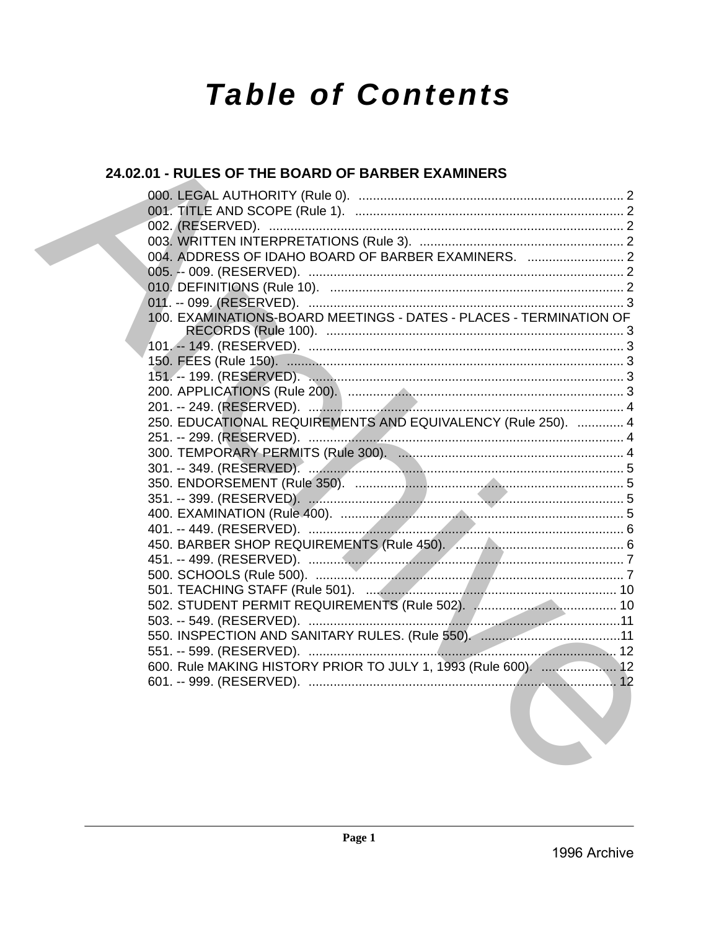# **Table of Contents**

## 24.02.01 - RULES OF THE BOARD OF BARBER EXAMINERS

| 004. ADDRESS OF IDAHO BOARD OF BARBER EXAMINERS.  2                                                             |  |
|-----------------------------------------------------------------------------------------------------------------|--|
|                                                                                                                 |  |
|                                                                                                                 |  |
|                                                                                                                 |  |
| 100. EXAMINATIONS-BOARD MEETINGS - DATES - PLACES - TERMINATION OF                                              |  |
|                                                                                                                 |  |
|                                                                                                                 |  |
|                                                                                                                 |  |
|                                                                                                                 |  |
| 250. EDUCATIONAL REQUIREMENTS AND EQUIVALENCY (Rule 250).  4                                                    |  |
|                                                                                                                 |  |
|                                                                                                                 |  |
|                                                                                                                 |  |
|                                                                                                                 |  |
|                                                                                                                 |  |
|                                                                                                                 |  |
|                                                                                                                 |  |
|                                                                                                                 |  |
|                                                                                                                 |  |
|                                                                                                                 |  |
|                                                                                                                 |  |
|                                                                                                                 |  |
|                                                                                                                 |  |
|                                                                                                                 |  |
| 600. Rule MAKING HISTORY PRIOR TO JULY 1, 1993 (Rule 600).  12                                                  |  |
| the contract of the contract of the contract of the contract of the contract of the contract of the contract of |  |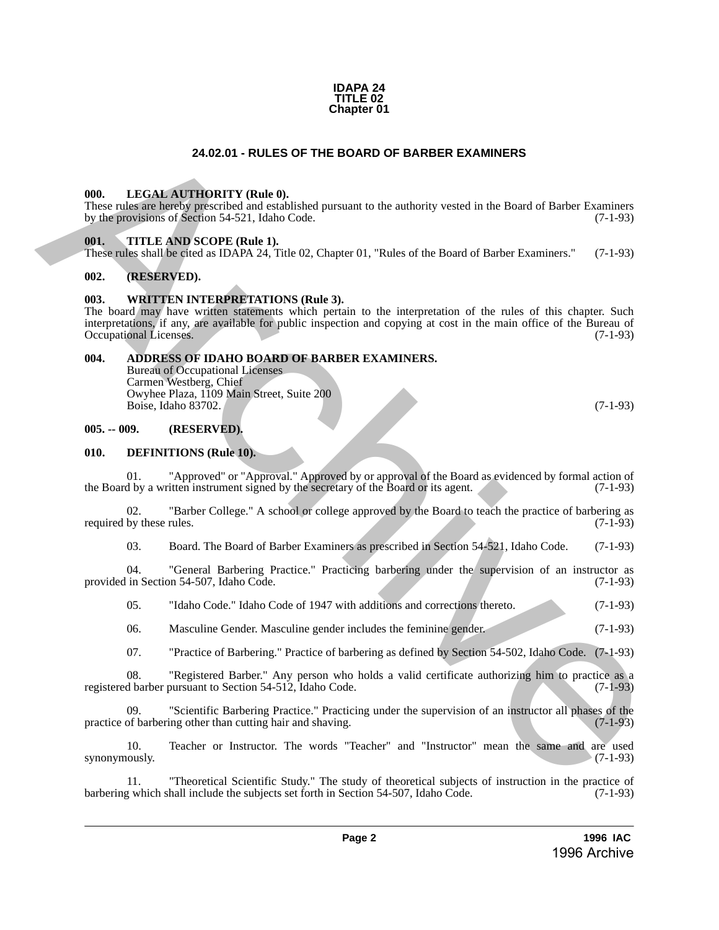#### **IDAPA 24 TITLE 02 Chapter 01**

#### **24.02.01 - RULES OF THE BOARD OF BARBER EXAMINERS**

#### <span id="page-1-1"></span><span id="page-1-0"></span>**000. LEGAL AUTHORITY (Rule 0).**

These rules are hereby prescribed and established pursuant to the authority vested in the Board of Barber Examiners by the provisions of Section 54-521, Idaho Code. (7-1-93) by the provisions of Section 54-521, Idaho Code.

#### <span id="page-1-2"></span>**001. TITLE AND SCOPE (Rule 1).**

These rules shall be cited as IDAPA 24, Title 02, Chapter 01, "Rules of the Board of Barber Examiners." (7-1-93)

#### <span id="page-1-3"></span>**002. (RESERVED).**

#### <span id="page-1-4"></span>**003. WRITTEN INTERPRETATIONS (Rule 3).**

The board may have written statements which pertain to the interpretation of the rules of this chapter. Such interpretations, if any, are available for public inspection and copying at cost in the main office of the Bureau of Occupational Licenses. (7-1-93) Occupational Licenses. **24.02.01 - RULES OF THE BOARD OF BARBER EXAMINERS**<br>
1006. LEGAL AUTHORITY (Rule 0),<br>
11. Constraint (Pacific Theorem and the authority vested in the Board of Barber Examines<br>
by degrees the first Constraint Constraint (C

#### <span id="page-1-5"></span>**004. ADDRESS OF IDAHO BOARD OF BARBER EXAMINERS.**

Bureau of Occupational Licenses Carmen Westberg, Chief Owyhee Plaza, 1109 Main Street, Suite 200 Boise, Idaho 83702. (7-1-93)

<span id="page-1-6"></span>**005. -- 009. (RESERVED).**

#### <span id="page-1-7"></span>**010. DEFINITIONS (Rule 10).**

01. "Approved" or "Approval." Approved by or approval of the Board as evidenced by formal action of  $\frac{1}{2}$  by a written instrument signed by the secretary of the Board or its agent. (7-1-93) the Board by a written instrument signed by the secretary of the Board or its agent.

02. "Barber College." A school or college approved by the Board to teach the practice of barbering as by these rules. (7-1-93) required by these rules.

03. Board. The Board of Barber Examiners as prescribed in Section 54-521, Idaho Code. (7-1-93)

04. "General Barbering Practice." Practicing barbering under the supervision of an instructor as provided in Section 54-507, Idaho Code. (7-1-93)

05. "Idaho Code." Idaho Code of 1947 with additions and corrections thereto. (7-1-93)

06. Masculine Gender. Masculine gender includes the feminine gender. (7-1-93)

07. "Practice of Barbering." Practice of barbering as defined by Section 54-502, Idaho Code. (7-1-93)

08. "Registered Barber." Any person who holds a valid certificate authorizing him to practice as a registered barber pursuant to Section 54-512, Idaho Code. (7-1-93)

09. "Scientific Barbering Practice." Practicing under the supervision of an instructor all phases of the of barbering other than cutting hair and shaving. (7-1-93) practice of barbering other than cutting hair and shaving.

10. Teacher or Instructor. The words "Teacher" and "Instructor" mean the same and are used synonymously.  $(7-1-93)$ 

11. "Theoretical Scientific Study." The study of theoretical subjects of instruction in the practice of y which shall include the subjects set forth in Section 54-507, Idaho Code. (7-1-93) barbering which shall include the subjects set forth in Section 54-507, Idaho Code.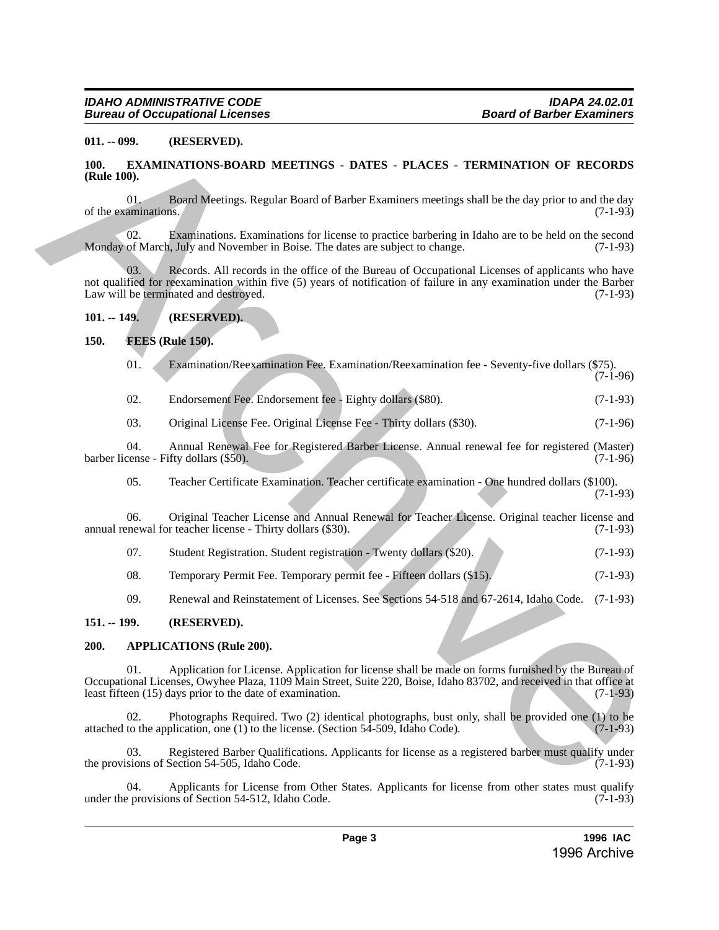#### <span id="page-2-0"></span>**011. -- 099. (RESERVED).**

#### <span id="page-2-1"></span>**100. EXAMINATIONS-BOARD MEETINGS - DATES - PLACES - TERMINATION OF RECORDS (Rule 100).**

01. Board Meetings. Regular Board of Barber Examiners meetings shall be the day prior to and the day of the examinations.

02. Examinations. Examinations for license to practice barbering in Idaho are to be held on the second Monday of March, July and November in Boise. The dates are subject to change. (7-1-93)

Records. All records in the office of the Bureau of Occupational Licenses of applicants who have not qualified for reexamination within five (5) years of notification of failure in any examination under the Barber<br>Law will be terminated and destroyed. (7-1-93) Law will be terminated and destroyed. 11. **a.** (**RESERVED).**<br>
11. **a.** (**RESERVED**). **B.** (**RESERVED**) **ARCHIVES CONS CONS CONS CONS CONS CONS CONS CONS CONS CONS CONS CONS CONS CONS CONS CONS CONS CONS CONS CONS CONS** 

#### <span id="page-2-2"></span>**101. -- 149. (RESERVED).**

#### <span id="page-2-3"></span>**150. FEES (Rule 150).**

| 01. |  |  | Examination/Reexamination Fee. Examination/Reexamination fee - Seventy-five dollars (\$75). |
|-----|--|--|---------------------------------------------------------------------------------------------|
|     |  |  |                                                                                             |

(7-1-96)

02. Endorsement Fee. Endorsement fee - Eighty dollars (\$80). (7-1-93)

03. Original License Fee. Original License Fee - Thirty dollars (\$30). (7-1-96)

04. Annual Renewal Fee for Registered Barber License. Annual renewal fee for registered (Master) (7-1-96) barber license - Fifty dollars (\$50).

05. Teacher Certificate Examination. Teacher certificate examination - One hundred dollars (\$100). (7-1-93)

06. Original Teacher License and Annual Renewal for Teacher License. Original teacher license and annual renewal for teacher license - Thirty dollars (\$30). (7-1-93)

| 07. | Student Registration. Student registration - Twenty dollars (\$20). |  |  | $(7-1-93)$ |
|-----|---------------------------------------------------------------------|--|--|------------|
|     |                                                                     |  |  |            |

08. Temporary Permit Fee. Temporary permit fee - Fifteen dollars (\$15). (7-1-93)

09. Renewal and Reinstatement of Licenses. See Sections 54-518 and 67-2614, Idaho Code. (7-1-93)

#### <span id="page-2-4"></span>**151. -- 199. (RESERVED).**

#### <span id="page-2-5"></span>**200. APPLICATIONS (Rule 200).**

01. Application for License. Application for license shall be made on forms furnished by the Bureau of Occupational Licenses, Owyhee Plaza, 1109 Main Street, Suite 220, Boise, Idaho 83702, and received in that office at least fifteen (15) days prior to the date of examination. (7-1-93)

Photographs Required. Two (2) identical photographs, bust only, shall be provided one (1) to be plication, one (1) to the license. (Section 54-509, Idaho Code).  $(7-1-93)$ attached to the application, one  $(1)$  to the license. (Section 54-509, Idaho Code).

03. Registered Barber Qualifications. Applicants for license as a registered barber must qualify under isions of Section 54-505, Idaho Code. (7-1-93) the provisions of Section 54-505, Idaho Code.

04. Applicants for License from Other States. Applicants for license from other states must qualify provisions of Section 54-512, Idaho Code. (7-1-93) under the provisions of Section 54-512, Idaho Code.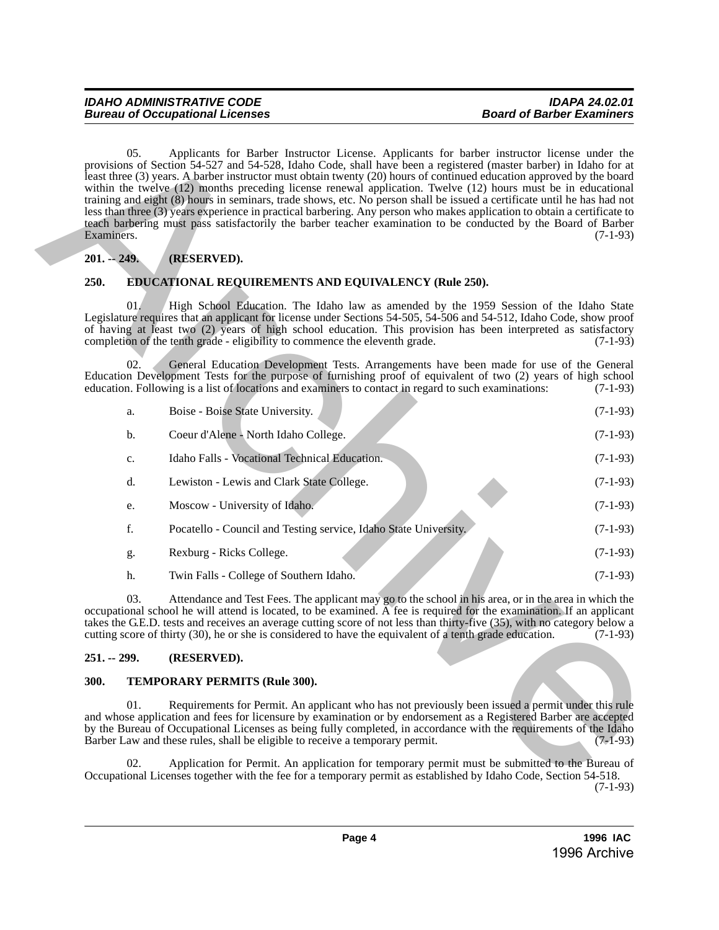### <span id="page-3-0"></span>**201. -- 249. (RESERVED).**

#### <span id="page-3-1"></span>**250. EDUCATIONAL REQUIREMENTS AND EQUIVALENCY (Rule 250).**

|                                                                                                                                                                                                                                                                                                                                                                      | 05.<br>Applicants for Barber Instructor License. Applicants for barber instructor license under the<br>provisions of Section 54-527 and 54-528, Idaho Code, shall have been a registered (master barber) in Idaho for at<br>least three (3) years. A barber instructor must obtain twenty (20) hours of continued education approved by the board<br>within the twelve (12) months preceding license renewal application. Twelve (12) hours must be in educational<br>training and eight (8) hours in seminars, trade shows, etc. No person shall be issued a certificate until he has had not<br>less than three (3) years experience in practical barbering. Any person who makes application to obtain a certificate to<br>teach barbering must pass satisfactorily the barber teacher examination to be conducted by the Board of Barber<br>Examiners.<br>$(7-1-93)$ |     |                                                                                                                                                                                                                                                                                                                                                                                                                |            |  |
|----------------------------------------------------------------------------------------------------------------------------------------------------------------------------------------------------------------------------------------------------------------------------------------------------------------------------------------------------------------------|--------------------------------------------------------------------------------------------------------------------------------------------------------------------------------------------------------------------------------------------------------------------------------------------------------------------------------------------------------------------------------------------------------------------------------------------------------------------------------------------------------------------------------------------------------------------------------------------------------------------------------------------------------------------------------------------------------------------------------------------------------------------------------------------------------------------------------------------------------------------------|-----|----------------------------------------------------------------------------------------------------------------------------------------------------------------------------------------------------------------------------------------------------------------------------------------------------------------------------------------------------------------------------------------------------------------|------------|--|
|                                                                                                                                                                                                                                                                                                                                                                      | $201. - 249.$                                                                                                                                                                                                                                                                                                                                                                                                                                                                                                                                                                                                                                                                                                                                                                                                                                                            |     | (RESERVED).                                                                                                                                                                                                                                                                                                                                                                                                    |            |  |
|                                                                                                                                                                                                                                                                                                                                                                      | 250.                                                                                                                                                                                                                                                                                                                                                                                                                                                                                                                                                                                                                                                                                                                                                                                                                                                                     |     | <b>EDUCATIONAL REQUIREMENTS AND EQUIVALENCY (Rule 250).</b>                                                                                                                                                                                                                                                                                                                                                    |            |  |
|                                                                                                                                                                                                                                                                                                                                                                      |                                                                                                                                                                                                                                                                                                                                                                                                                                                                                                                                                                                                                                                                                                                                                                                                                                                                          | 01. | High School Education. The Idaho law as amended by the 1959 Session of the Idaho State<br>Legislature requires that an applicant for license under Sections 54-505, 54-506 and 54-512, Idaho Code, show proof<br>of having at least two (2) years of high school education. This provision has been interpreted as satisfactory<br>completion of the tenth grade - eligibility to commence the eleventh grade. | $(7-1-93)$ |  |
|                                                                                                                                                                                                                                                                                                                                                                      |                                                                                                                                                                                                                                                                                                                                                                                                                                                                                                                                                                                                                                                                                                                                                                                                                                                                          | 02. | General Education Development Tests. Arrangements have been made for use of the General<br>Education Development Tests for the purpose of furnishing proof of equivalent of two (2) years of high school<br>education. Following is a list of locations and examiners to contact in regard to such examinations:                                                                                               | $(7-1-93)$ |  |
|                                                                                                                                                                                                                                                                                                                                                                      |                                                                                                                                                                                                                                                                                                                                                                                                                                                                                                                                                                                                                                                                                                                                                                                                                                                                          | a.  | Boise - Boise State University.                                                                                                                                                                                                                                                                                                                                                                                | $(7-1-93)$ |  |
|                                                                                                                                                                                                                                                                                                                                                                      | b.                                                                                                                                                                                                                                                                                                                                                                                                                                                                                                                                                                                                                                                                                                                                                                                                                                                                       |     | Coeur d'Alene - North Idaho College.                                                                                                                                                                                                                                                                                                                                                                           | $(7-1-93)$ |  |
|                                                                                                                                                                                                                                                                                                                                                                      | c.                                                                                                                                                                                                                                                                                                                                                                                                                                                                                                                                                                                                                                                                                                                                                                                                                                                                       |     | Idaho Falls - Vocational Technical Education.                                                                                                                                                                                                                                                                                                                                                                  | $(7-1-93)$ |  |
|                                                                                                                                                                                                                                                                                                                                                                      | d.                                                                                                                                                                                                                                                                                                                                                                                                                                                                                                                                                                                                                                                                                                                                                                                                                                                                       |     | Lewiston - Lewis and Clark State College.                                                                                                                                                                                                                                                                                                                                                                      | $(7-1-93)$ |  |
|                                                                                                                                                                                                                                                                                                                                                                      | e.                                                                                                                                                                                                                                                                                                                                                                                                                                                                                                                                                                                                                                                                                                                                                                                                                                                                       |     | Moscow - University of Idaho.                                                                                                                                                                                                                                                                                                                                                                                  | $(7-1-93)$ |  |
|                                                                                                                                                                                                                                                                                                                                                                      | f.                                                                                                                                                                                                                                                                                                                                                                                                                                                                                                                                                                                                                                                                                                                                                                                                                                                                       |     | Pocatello - Council and Testing service, Idaho State University.                                                                                                                                                                                                                                                                                                                                               | $(7-1-93)$ |  |
|                                                                                                                                                                                                                                                                                                                                                                      | g.                                                                                                                                                                                                                                                                                                                                                                                                                                                                                                                                                                                                                                                                                                                                                                                                                                                                       |     | Rexburg - Ricks College.                                                                                                                                                                                                                                                                                                                                                                                       | $(7-1-93)$ |  |
|                                                                                                                                                                                                                                                                                                                                                                      | h.                                                                                                                                                                                                                                                                                                                                                                                                                                                                                                                                                                                                                                                                                                                                                                                                                                                                       |     | Twin Falls - College of Southern Idaho.                                                                                                                                                                                                                                                                                                                                                                        | $(7-1-93)$ |  |
| 03.<br>occupational school he will attend is located, to be examined. A fee is required for the examination. If an applicant<br>takes the G.E.D. tests and receives an average cutting score of not less than thirty-five (35), with no category below a<br>cutting score of thirty (30), he or she is considered to have the equivalent of a tenth grade education. |                                                                                                                                                                                                                                                                                                                                                                                                                                                                                                                                                                                                                                                                                                                                                                                                                                                                          |     | Attendance and Test Fees. The applicant may go to the school in his area, or in the area in which the                                                                                                                                                                                                                                                                                                          | $(7-1-93)$ |  |
|                                                                                                                                                                                                                                                                                                                                                                      | $251. - 299.$                                                                                                                                                                                                                                                                                                                                                                                                                                                                                                                                                                                                                                                                                                                                                                                                                                                            |     | (RESERVED).                                                                                                                                                                                                                                                                                                                                                                                                    |            |  |
| <b>300.</b>                                                                                                                                                                                                                                                                                                                                                          |                                                                                                                                                                                                                                                                                                                                                                                                                                                                                                                                                                                                                                                                                                                                                                                                                                                                          |     | <b>TEMPORARY PERMITS (Rule 300).</b>                                                                                                                                                                                                                                                                                                                                                                           |            |  |
|                                                                                                                                                                                                                                                                                                                                                                      | Requirements for Permit. An applicant who has not previously been issued a permit under this rule<br>01.<br>and whose application and fees for licensure by examination or by endorsement as a Registered Barber are accepted<br>by the Bureau of Occupational Licenses as being fully completed, in accordance with the requirements of the Idaho<br>Barber Law and these rules, shall be eligible to receive a temporary permit.<br>$(7-1-93)$                                                                                                                                                                                                                                                                                                                                                                                                                         |     |                                                                                                                                                                                                                                                                                                                                                                                                                |            |  |
|                                                                                                                                                                                                                                                                                                                                                                      |                                                                                                                                                                                                                                                                                                                                                                                                                                                                                                                                                                                                                                                                                                                                                                                                                                                                          | 02. | Application for Permit. An application for temporary permit must be submitted to the Bureau of<br>Occupational Licenses together with the fee for a temporary permit as established by Idaho Code, Section 54-518.                                                                                                                                                                                             |            |  |

### <span id="page-3-2"></span>**251. -- 299. (RESERVED).**

#### <span id="page-3-3"></span>**300. TEMPORARY PERMITS (Rule 300).**

02. Application for Permit. An application for temporary permit must be submitted to the Bureau of Occupational Licenses together with the fee for a temporary permit as established by Idaho Code, Section 54-518. (7-1-93)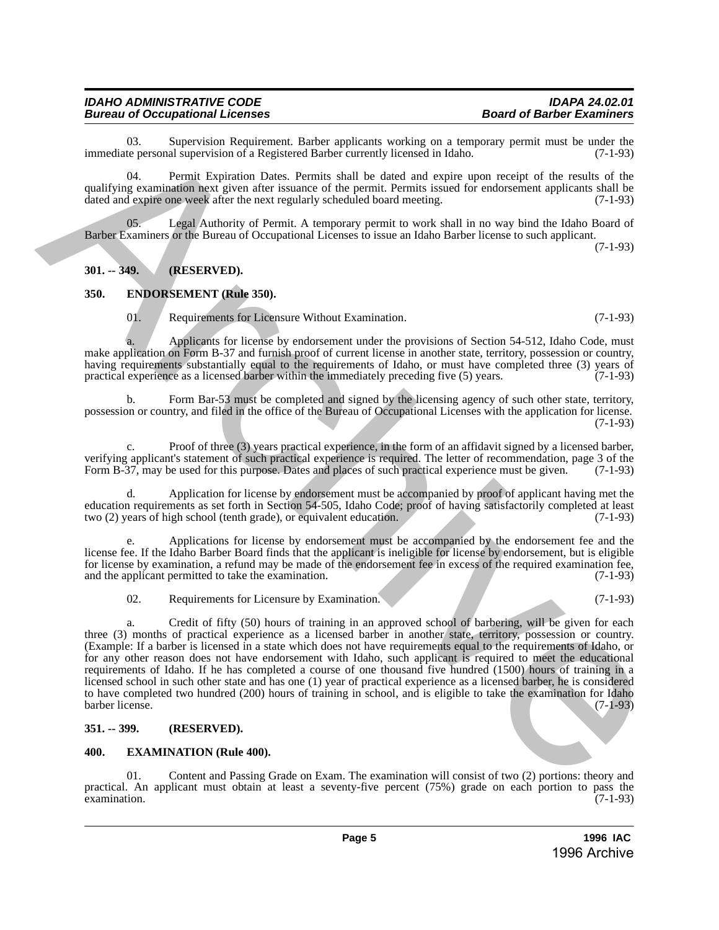#### *IDAHO ADMINISTRATIVE CODE IDAPA 24.02.01 Bureau of Occupational Licenses*

03. Supervision Requirement. Barber applicants working on a temporary permit must be under the teners onal supervision of a Registered Barber currently licensed in Idaho. (7-1-93) immediate personal supervision of a Registered Barber currently licensed in Idaho.

04. Permit Expiration Dates. Permits shall be dated and expire upon receipt of the results of the qualifying examination next given after issuance of the permit. Permits issued for endorsement applicants shall be dated and expire one week after the next regularly scheduled board meeting. (7-1-93)

Legal Authority of Permit. A temporary permit to work shall in no way bind the Idaho Board of Barber Examiners or the Bureau of Occupational Licenses to issue an Idaho Barber license to such applicant. (7-1-93)

#### <span id="page-4-0"></span>**301. -- 349. (RESERVED).**

#### <span id="page-4-1"></span>**350. ENDORSEMENT (Rule 350).**

01. Requirements for Licensure Without Examination. (7-1-93)

a. Applicants for license by endorsement under the provisions of Section 54-512, Idaho Code, must make application on Form B-37 and furnish proof of current license in another state, territory, possession or country, having requirements substantially equal to the requirements of Idaho, or must have completed three (3) years of practical experience as a licensed barber within the immediately preceding five (5) years. (7-1-93) practical experience as a licensed barber within the immediately preceding five  $(5)$  years.

b. Form Bar-53 must be completed and signed by the licensing agency of such other state, territory, possession or country, and filed in the office of the Bureau of Occupational Licenses with the application for license.  $(7-1-93)$ 

c. Proof of three (3) years practical experience, in the form of an affidavit signed by a licensed barber, verifying applicant's statement of such practical experience is required. The letter of recommendation, page 3 of the Form B-37, may be used for this purpose. Dates and places of such practical experience must be given. (7 Form B-37, may be used for this purpose. Dates and places of such practical experience must be given.

d. Application for license by endorsement must be accompanied by proof of applicant having met the education requirements as set forth in Section 54-505, Idaho Code; proof of having satisfactorily completed at least two (2) years of high school (tenth grade), or equivalent education. (7-1-93) two (2) years of high school (tenth grade), or equivalent education.

Applications for license by endorsement must be accompanied by the endorsement fee and the license fee. If the Idaho Barber Board finds that the applicant is ineligible for license by endorsement, but is eligible for license by examination, a refund may be made of the endorsement fee in excess of the required examination fee, and the applicant permitted to take the examination. (7-1-93) and the applicant permitted to take the examination.

02. Requirements for Licensure by Examination. (7-1-93)

a. Credit of fifty (50) hours of training in an approved school of barbering, will be given for each three (3) months of practical experience as a licensed barber in another state, territory, possession or country. (Example: If a barber is licensed in a state which does not have requirements equal to the requirements of Idaho, or for any other reason does not have endorsement with Idaho, such applicant is required to meet the educational requirements of Idaho. If he has completed a course of one thousand five hundred (1500) hours of training in a licensed school in such other state and has one (1) year of practical experience as a licensed barber, he is considered to have completed two hundred (200) hours of training in school, and is eligible to take the examination for Idaho barber license. (7-1-93) From the state state and the state of the state of the state of the state of the state of the state of the state of the state of the state of the state of the state of the state of the state of the state of the state of t

#### <span id="page-4-2"></span>**351. -- 399. (RESERVED).**

#### <span id="page-4-3"></span>**400. EXAMINATION (Rule 400).**

01. Content and Passing Grade on Exam. The examination will consist of two (2) portions: theory and practical. An applicant must obtain at least a seventy-five percent (75%) grade on each portion to pass the examination. (7-1-93)  $\alpha$  examination.  $(7-1-93)$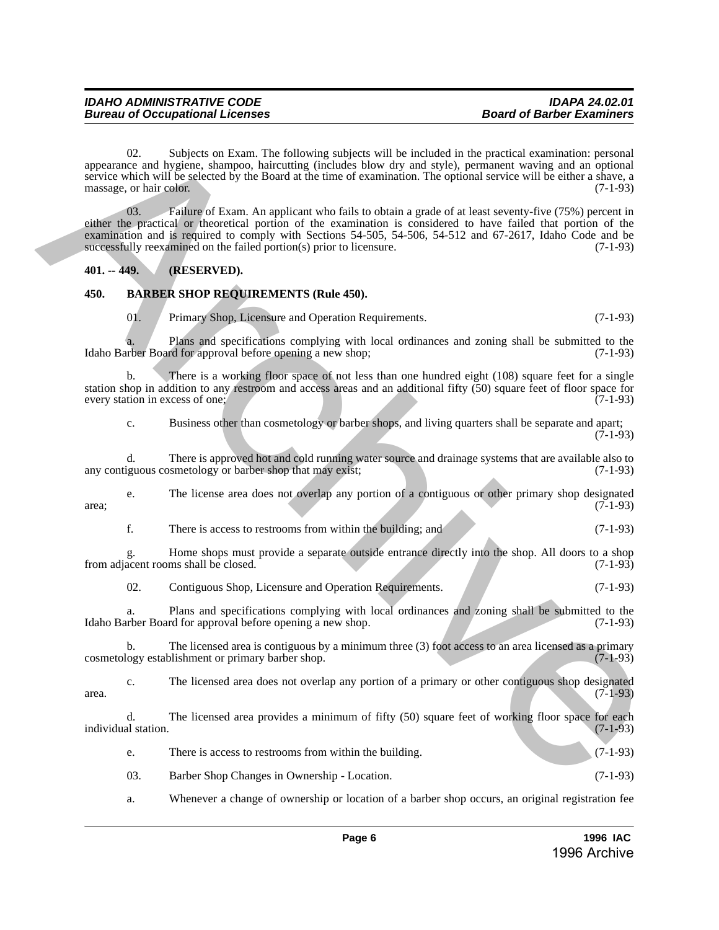02. Subjects on Exam. The following subjects will be included in the practical examination: personal appearance and hygiene, shampoo, haircutting (includes blow dry and style), permanent waving and an optional service which will be selected by the Board at the time of examination. The optional service will be either a shave, a massage, or hair color. (7-1-93) appearance and biological on Franc. The following arbivers will be included in the practice constantion personal<br>active with South Fourier and the control of the Bound of the Boundarium Constitution (1-1-05)<br>actives with

03. Failure of Exam. An applicant who fails to obtain a grade of at least seventy-five (75%) percent in either the practical or theoretical portion of the examination is considered to have failed that portion of the examination and is required to comply with Sections 54-505, 54-506, 54-512 and 67-2617, Idaho Code and be successfully reexamined on the failed portion(s) prior to licensure. (7-1-93)

### <span id="page-5-0"></span>**401. -- 449. (RESERVED).**

### <span id="page-5-1"></span>**450. BARBER SHOP REQUIREMENTS (Rule 450).**

01. Primary Shop, Licensure and Operation Requirements. (7-1-93)

a. Plans and specifications complying with local ordinances and zoning shall be submitted to the Idaho Barber Board for approval before opening a new shop; (7-1-93)

b. There is a working floor space of not less than one hundred eight (108) square feet for a single station shop in addition to any restroom and access areas and an additional fifty  $(50)$  square feet of floor space for every station in excess of one;  $(7-1-93)$ every station in excess of one;

c. Business other than cosmetology or barber shops, and living quarters shall be separate and apart;  $(7-1-93)$ 

d. There is approved hot and cold running water source and drainage systems that are available also to iguous cosmetology or barber shop that may exist; any contiguous cosmetology or barber shop that may exist;

e. The license area does not overlap any portion of a contiguous or other primary shop designated  $area$ ; (7-1-93)

f. There is access to restrooms from within the building; and (7-1-93)

g. Home shops must provide a separate outside entrance directly into the shop. All doors to a shop from adjacent rooms shall be closed.

02. Contiguous Shop, Licensure and Operation Requirements. (7-1-93)

a. Plans and specifications complying with local ordinances and zoning shall be submitted to the Idaho Barber Board for approval before opening a new shop. (7-1-93)

b. The licensed area is contiguous by a minimum three (3) foot access to an area licensed as a primary logy establishment or primary barber shop.  $(7-1-93)$ cosmetology establishment or primary barber shop.

c. The licensed area does not overlap any portion of a primary or other contiguous shop designated  $area.$  (7-1-93)

d. The licensed area provides a minimum of fifty (50) square feet of working floor space for each al station. (7-1-93) individual station.

e. There is access to restrooms from within the building. (7-1-93)

03. Barber Shop Changes in Ownership - Location. (7-1-93)

a. Whenever a change of ownership or location of a barber shop occurs, an original registration fee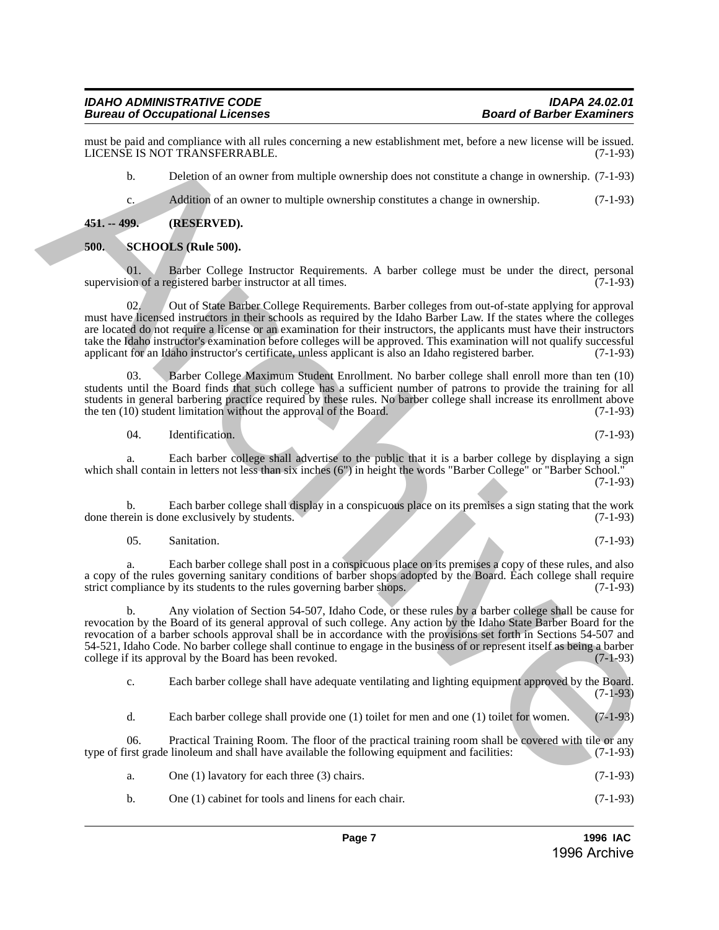#### *IDAHO ADMINISTRATIVE CODE IDAPA 24.02.01 Bureau of Occupational Licenses*

must be paid and compliance with all rules concerning a new establishment met, before a new license will be issued.<br>LICENSE IS NOT TRANSFERRABLE. (7-1-93) LICENSE IS NOT TRANSFERRABLE.

b. Deletion of an owner from multiple ownership does not constitute a change in ownership. (7-1-93)

c. Addition of an owner to multiple ownership constitutes a change in ownership. (7-1-93)

<span id="page-6-0"></span>**451. -- 499. (RESERVED).**

#### <span id="page-6-1"></span>**500. SCHOOLS (Rule 500).**

01. Barber College Instructor Requirements. A barber college must be under the direct, personal on of a registered barber instructor at all times. supervision of a registered barber instructor at all times.

02. Out of State Barber College Requirements. Barber colleges from out-of-state applying for approval must have licensed instructors in their schools as required by the Idaho Barber Law. If the states where the colleges are located do not require a license or an examination for their instructors, the applicants must have their instructors take the Idaho instructor's examination before colleges will be approved. This examination will not qualify successful applicant for an Idaho instructor's certificate, unless applicant is also an Idaho registered barber. (7-1-93)

03. Barber College Maximum Student Enrollment. No barber college shall enroll more than ten (10) students until the Board finds that such college has a sufficient number of patrons to provide the training for all students in general barbering practice required by these rules. No barber college shall increase its enrollment above<br>the ten (10) student limitation without the approval of the Board. (7-1-93) the ten  $(10)$  student limitation without the approval of the Board.

04. Identification. (7-1-93)

a. Each barber college shall advertise to the public that it is a barber college by displaying a sign which shall contain in letters not less than six inches (6") in height the words "Barber College" or "Barber School."  $(7-1-93)$ 

b. Each barber college shall display in a conspicuous place on its premises a sign stating that the work rein is done exclusively by students. (7-1-93) done therein is done exclusively by students.

05. Sanitation. (7-1-93)

a. Each barber college shall post in a conspicuous place on its premises a copy of these rules, and also a copy of the rules governing sanitary conditions of barber shops adopted by the Board. Each college shall require strict compliance by its students to the rules governing barber shops. (7-1-93) strict compliance by its students to the rules governing barber shops.

b. Any violation of Section 54-507, Idaho Code, or these rules by a barber college shall be cause for revocation by the Board of its general approval of such college. Any action by the Idaho State Barber Board for the revocation of a barber schools approval shall be in accordance with the provisions set forth in Sections 54-507 and 54-521, Idaho Code. No barber college shall continue to engage in the business of or represent itself as being a barber college if its approval by the Board has been revoked. (7-1-93) college if its approval by the Board has been revoked. mean be annihilated and the symmetries are solutionment met, hence as the latter of  $(3-43)$ <br>
LCCNS IS NOT TRANSTRRABLE<br>
b. Decision of at owner from multiple ownership does not constitue a damp in concerning. (7-1-35)<br>
b

c. Each barber college shall have adequate ventilating and lighting equipment approved by the Board. (7-1-93)

d. Each barber college shall provide one (1) toilet for men and one (1) toilet for women. (7-1-93)

06. Practical Training Room. The floor of the practical training room shall be covered with tile or any list grade linoleum and shall have available the following equipment and facilities: (7-1-93) type of first grade linoleum and shall have available the following equipment and facilities:

| One $(1)$ lavatory for each three $(3)$ chairs. | $(7-1-93)$ |
|-------------------------------------------------|------------|
|                                                 |            |

b. One (1) cabinet for tools and linens for each chair. (7-1-93)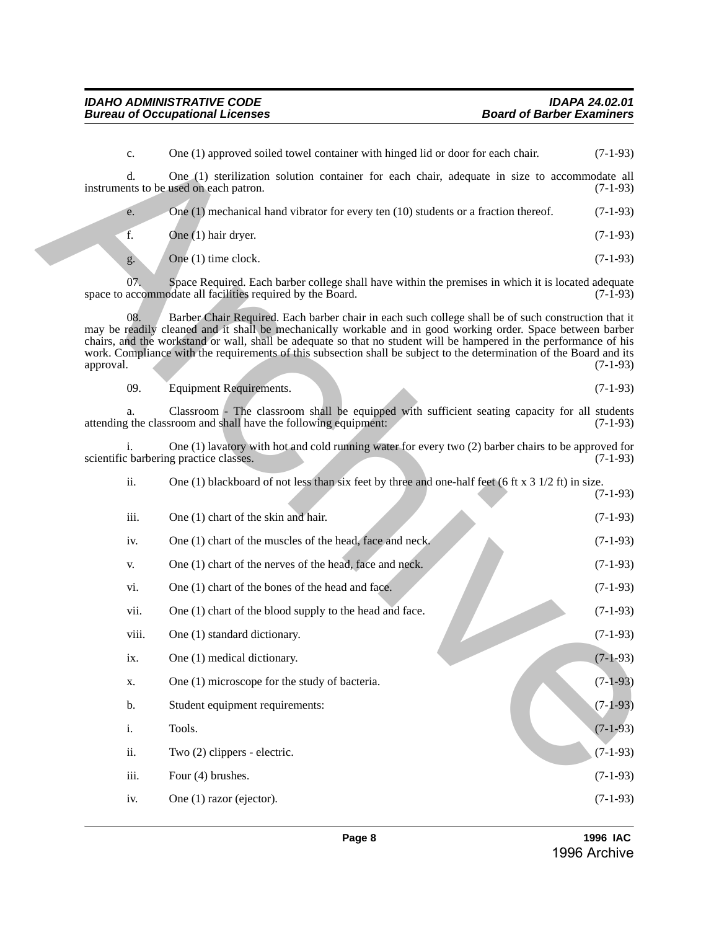c. One (1) approved soiled towel container with hinged lid or door for each chair. (7-1-93) d. One (1) sterilization solution container for each chair, adequate in size to accommodate all nts to be used on each patron. (7-1-93) instruments to be used on each patron. e. One (1) mechanical hand vibrator for every ten (10) students or a fraction thereof. (7-1-93) f. One (1) hair dryer. (7-1-93) g. One (1) time clock.  $(7-1-93)$ 07. Space Required. Each barber college shall have within the premises in which it is located adequate accommodate all facilities required by the Board. (7-1-93) space to accommodate all facilities required by the Board. 08. Barber Chair Required. Each barber chair in each such college shall be of such construction that it may be readily cleaned and it shall be mechanically workable and in good working order. Space between barber chairs, and the workstand or wall, shall be adequate so that no student will be hampered in the performance of his work. Compliance with the requirements of this subsection shall be subject to the determination of the Board and its approval. (7-1-93) approval. (7-1-93) 09. Equipment Requirements. (7-1-93) a. Classroom - The classroom shall be equipped with sufficient seating capacity for all students attending the classroom and shall have the following equipment: (7-1-93) i. One (1) lavatory with hot and cold running water for every two (2) barber chairs to be approved for scientific barbering practice classes. ii. One (1) blackboard of not less than six feet by three and one-half feet (6 ft x 3 1/2 ft) in size. (7-1-93) iii. One  $(1)$  chart of the skin and hair. (7-1-93) iv. One (1) chart of the muscles of the head, face and neck. (7-1-93) v. One (1) chart of the nerves of the head, face and neck.  $(7-1-93)$ vi. One (1) chart of the bones of the head and face.  $(7-1-93)$ vii. One (1) chart of the blood supply to the head and face.  $(7-1-93)$ viii. One (1) standard dictionary. (7-1-93) ix. One (1) medical dictionary.  $(7-1-93)$ x. One (1) microscope for the study of bacteria.  $(7-1-93)$ b. Student equipment requirements: (7-1-93) i. Tools.  $(7-1-93)$ ii. Two  $(2)$  clippers - electric.  $(7-1-93)$ iii. Four  $(4)$  brushes.  $(7-1-93)$ iv. One (1) razor (ejector).  $(7-1-93)$ Cose (1) approved solid otevel container with higged lid or door for each chair (3-1-9)<br>
instruments to be and (3) excitation reduced container for each chair, adequate in size to accommodate all<br>  $\Phi$  (5) that depends to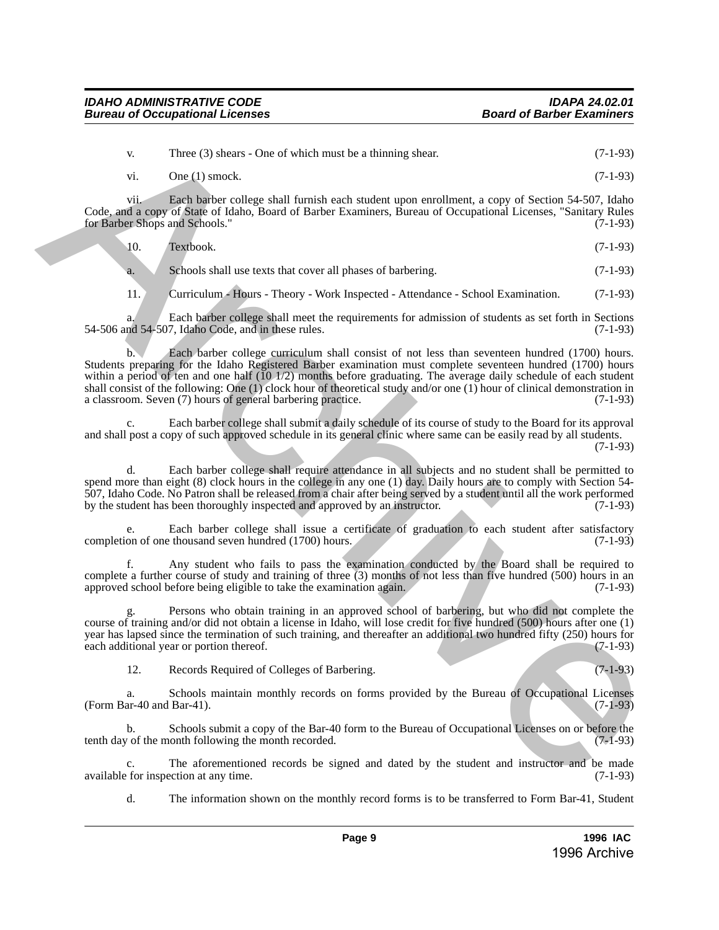v. Three (3) shears - One of which must be a thinning shear. (7-1-93) vi. One (1) smock.  $(7-1-93)$ 

vii. Each barber college shall furnish each student upon enrollment, a copy of Section 54-507, Idaho Code, and a copy of State of Idaho, Board of Barber Examiners, Bureau of Occupational Licenses, "Sanitary Rules for Barber Shops and Schools." (7-1-93)

10. Textbook. (7-1-93)

a. Schools shall use texts that cover all phases of barbering. (7-1-93)

11. Curriculum - Hours - Theory - Work Inspected - Attendance - School Examination. (7-1-93)

a. Each barber college shall meet the requirements for admission of students as set forth in Sections nd 54-507, Idaho Code, and in these rules. (7-1-93) 54-506 and 54-507, Idaho Code, and in these rules.

b. Each barber college curriculum shall consist of not less than seventeen hundred (1700) hours. Students preparing for the Idaho Registered Barber examination must complete seventeen hundred (1700) hours within a period of ten and one half (10 1/2) months before graduating. The average daily schedule of each student shall consist of the following: One (1) clock hour of theoretical study and/or one (1) hour of clinical demonstration in a classroom. Seven (7) hours of general barbering practice.  $(7-1-93)$ a classroom. Seven (7) hours of general barbering practice. There (3) shows - One of which must be a thinning short<br>
(7-1-9)<br>
(7-1-9)<br>
(7-1-9)<br>
(7-1-9)<br>
Concelling short content and the state interesting short content and the state interesting and the state of the state of the sta

Each barber college shall submit a daily schedule of its course of study to the Board for its approval and shall post a copy of such approved schedule in its general clinic where same can be easily read by all students. (7-1-93)

d. Each barber college shall require attendance in all subjects and no student shall be permitted to spend more than eight (8) clock hours in the college in any one (1) day. Daily hours are to comply with Section 54- 507, Idaho Code. No Patron shall be released from a chair after being served by a student until all the work performed by the student has been thoroughly inspected and approved by an instructor. (7-1-93)

e. Each barber college shall issue a certificate of graduation to each student after satisfactory on of one thousand seven hundred (1700) hours. (7-1-93) completion of one thousand seven hundred (1700) hours.

f. Any student who fails to pass the examination conducted by the Board shall be required to complete a further course of study and training of three (3) months of not less than five hundred (500) hours in an approved school before being eligible to take the examination again. (7-1-93)

Persons who obtain training in an approved school of barbering, but who did not complete the course of training and/or did not obtain a license in Idaho, will lose credit for five hundred (500) hours after one (1) year has lapsed since the termination of such training, and thereafter an additional two hundred fifty (250) hours for each additional year or portion thereof. (7-1-93) each additional year or portion thereof.

12. Records Required of Colleges of Barbering. (7-1-93)

a. Schools maintain monthly records on forms provided by the Bureau of Occupational Licenses (Form Bar-40 and Bar-41).

b. Schools submit a copy of the Bar-40 form to the Bureau of Occupational Licenses on or before the tenth day of the month following the month recorded. (7-1-93)

c. The aforementioned records be signed and dated by the student and instructor and be made<br>for inspection at any time. (7-1-93) available for inspection at any time.

d. The information shown on the monthly record forms is to be transferred to Form Bar-41, Student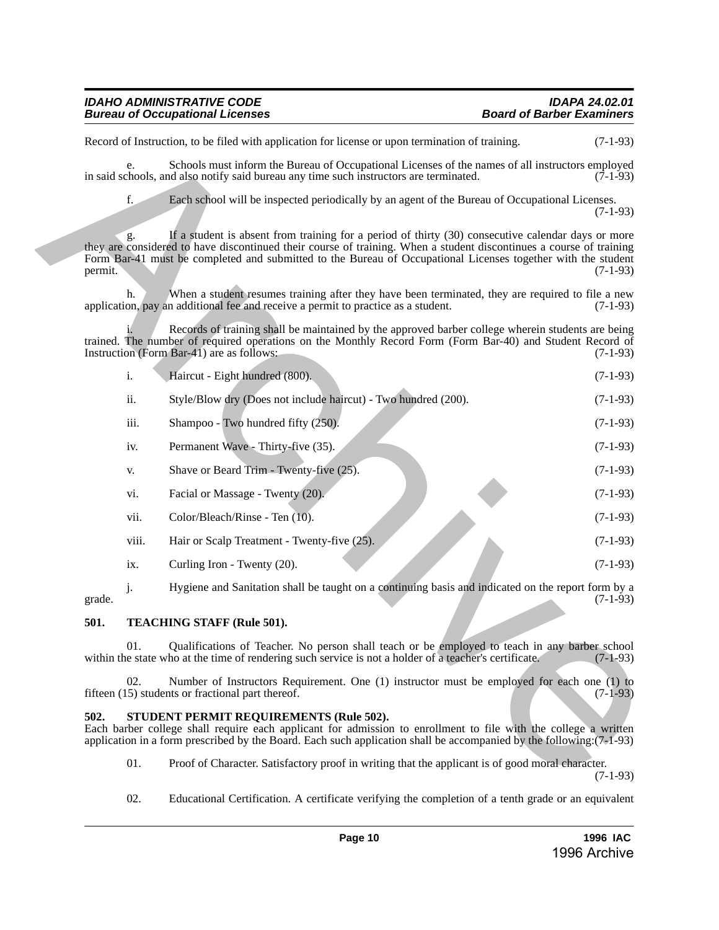| <b>IDAHO ADMINISTRATIVE CODE</b>       | <b>IDAPA 24.02.01</b>            |
|----------------------------------------|----------------------------------|
| <b>Bureau of Occupational Licenses</b> | <b>Board of Barber Examiners</b> |

|                                                                                                                                                                                                                                                                                            |       | Record of Instruction, to be filed with application for license or upon termination of training.                                                                                                                                                                                                                                          | $(7-1-93)$ |  |
|--------------------------------------------------------------------------------------------------------------------------------------------------------------------------------------------------------------------------------------------------------------------------------------------|-------|-------------------------------------------------------------------------------------------------------------------------------------------------------------------------------------------------------------------------------------------------------------------------------------------------------------------------------------------|------------|--|
|                                                                                                                                                                                                                                                                                            | e.    | Schools must inform the Bureau of Occupational Licenses of the names of all instructors employed<br>in said schools, and also notify said bureau any time such instructors are terminated.                                                                                                                                                | $(7-1-93)$ |  |
|                                                                                                                                                                                                                                                                                            | f.    | Each school will be inspected periodically by an agent of the Bureau of Occupational Licenses.                                                                                                                                                                                                                                            | $(7-1-93)$ |  |
| permit.                                                                                                                                                                                                                                                                                    | g.    | If a student is absent from training for a period of thirty (30) consecutive calendar days or more<br>they are considered to have discontinued their course of training. When a student discontinues a course of training<br>Form Bar-41 must be completed and submitted to the Bureau of Occupational Licenses together with the student | $(7-1-93)$ |  |
|                                                                                                                                                                                                                                                                                            | h.    | When a student resumes training after they have been terminated, they are required to file a new<br>application, pay an additional fee and receive a permit to practice as a student.                                                                                                                                                     | $(7-1-93)$ |  |
|                                                                                                                                                                                                                                                                                            |       | Records of training shall be maintained by the approved barber college wherein students are being<br>trained. The number of required operations on the Monthly Record Form (Form Bar-40) and Student Record of<br>Instruction (Form Bar-41) are as follows:                                                                               | $(7-1-93)$ |  |
|                                                                                                                                                                                                                                                                                            | i.    | Haircut - Eight hundred (800).                                                                                                                                                                                                                                                                                                            | $(7-1-93)$ |  |
|                                                                                                                                                                                                                                                                                            | ii.   | Style/Blow dry (Does not include haircut) - Two hundred (200).                                                                                                                                                                                                                                                                            | $(7-1-93)$ |  |
|                                                                                                                                                                                                                                                                                            | iii.  | Shampoo - Two hundred fifty (250).                                                                                                                                                                                                                                                                                                        | $(7-1-93)$ |  |
|                                                                                                                                                                                                                                                                                            | iv.   | Permanent Wave - Thirty-five (35).                                                                                                                                                                                                                                                                                                        | $(7-1-93)$ |  |
|                                                                                                                                                                                                                                                                                            | V.    | Shave or Beard Trim - Twenty-five (25).                                                                                                                                                                                                                                                                                                   | $(7-1-93)$ |  |
|                                                                                                                                                                                                                                                                                            | vi.   | Facial or Massage - Twenty (20).                                                                                                                                                                                                                                                                                                          | $(7-1-93)$ |  |
|                                                                                                                                                                                                                                                                                            | vii.  | Color/Bleach/Rinse - Ten (10).                                                                                                                                                                                                                                                                                                            | $(7-1-93)$ |  |
|                                                                                                                                                                                                                                                                                            | viii. | Hair or Scalp Treatment - Twenty-five (25).                                                                                                                                                                                                                                                                                               | $(7-1-93)$ |  |
|                                                                                                                                                                                                                                                                                            | ix.   | Curling Iron - Twenty (20).                                                                                                                                                                                                                                                                                                               | $(7-1-93)$ |  |
| grade.                                                                                                                                                                                                                                                                                     | j.    | Hygiene and Sanitation shall be taught on a continuing basis and indicated on the report form by a                                                                                                                                                                                                                                        | $(7-1-93)$ |  |
| 501.                                                                                                                                                                                                                                                                                       |       | TEACHING STAFF (Rule 501).                                                                                                                                                                                                                                                                                                                |            |  |
|                                                                                                                                                                                                                                                                                            | 01.   | Qualifications of Teacher. No person shall teach or be employed to teach in any barber school<br>within the state who at the time of rendering such service is not a holder of a teacher's certificate.                                                                                                                                   | $(7-1-93)$ |  |
|                                                                                                                                                                                                                                                                                            | 02.   | Number of Instructors Requirement. One (1) instructor must be employed for each one (1) to<br>fifteen (15) students or fractional part thereof.                                                                                                                                                                                           | $(7-1-93)$ |  |
| 502.<br>STUDENT PERMIT REQUIREMENTS (Rule 502).<br>Each barber college shall require each applicant for admission to enrollment to file with the college a written<br>application in a form prescribed by the Board. Each such application shall be accompanied by the following: (7-1-93) |       |                                                                                                                                                                                                                                                                                                                                           |            |  |
|                                                                                                                                                                                                                                                                                            | 01.   | Proof of Character. Satisfactory proof in writing that the applicant is of good moral character.                                                                                                                                                                                                                                          | $(7-1-93)$ |  |

#### <span id="page-9-0"></span>**501. TEACHING STAFF (Rule 501).**

#### <span id="page-9-1"></span>**502. STUDENT PERMIT REQUIREMENTS (Rule 502).**

02. Educational Certification. A certificate verifying the completion of a tenth grade or an equivalent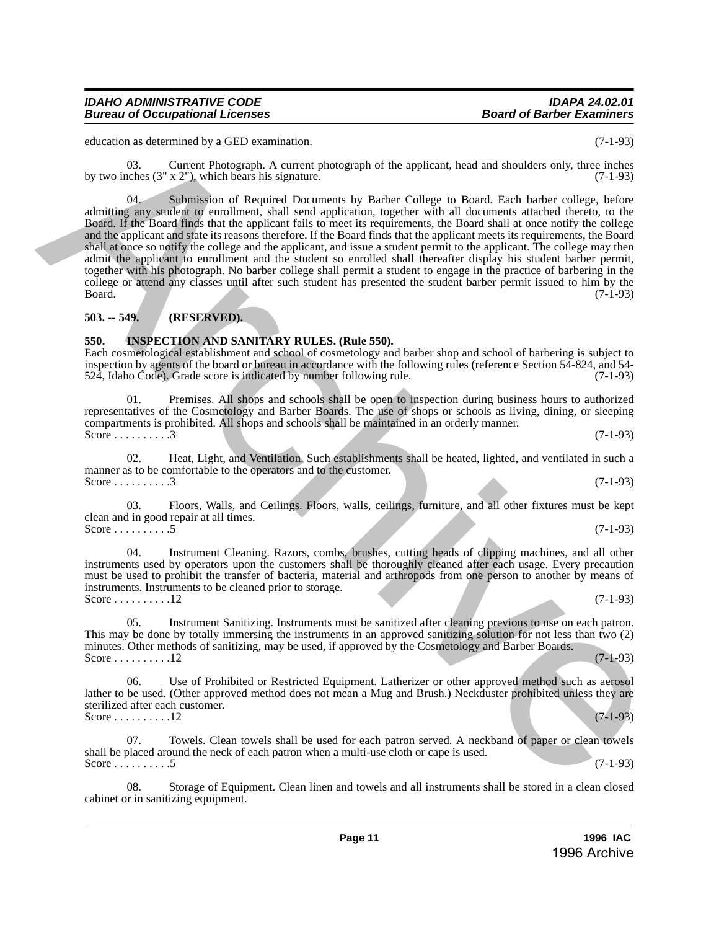education as determined by a GED examination. (7-1-93)

03. Current Photograph. A current photograph of the applicant, head and shoulders only, three inches by two inches  $(3'' \times 2'')$ , which bears his signature. (7-1-93)

04. Submission of Required Documents by Barber College to Board. Each barber college, before admitting any student to enrollment, shall send application, together with all documents attached thereto, to the Board. If the Board finds that the applicant fails to meet its requirements, the Board shall at once notify the college and the applicant and state its reasons therefore. If the Board finds that the applicant meets its requirements, the Board shall at once so notify the college and the applicant, and issue a student permit to the applicant. The college may then admit the applicant to enrollment and the student so enrolled shall thereafter display his student barber permit, together with his photograph. No barber college shall permit a student to engage in the practice of barbering in the college or attend any classes until after such student has presented the student barber permit issued to him by the Board. (7-1-93)  $Board.$  (7-1-93) education as determined by of the Decemberia of the spin tensor and and shoulders only. (1-4.9)<br>
by two index (3-2) which by the spin tensor of the spin tensor of the spin tensor of the spin tensor of the spin tensor of t

#### <span id="page-10-0"></span>**503. -- 549. (RESERVED).**

#### <span id="page-10-1"></span>**550. INSPECTION AND SANITARY RULES. (Rule 550).**

Each cosmetological establishment and school of cosmetology and barber shop and school of barbering is subject to inspection by agents of the board or bureau in accordance with the following rules (reference Section 54-824, and 54-<br>524, Idaho Code). Grade score is indicated by number following rule. (7-1-93) 524, Idaho Code). Grade score is indicated by number following rule.

01. Premises. All shops and schools shall be open to inspection during business hours to authorized representatives of the Cosmetology and Barber Boards. The use of shops or schools as living, dining, or sleeping compartments is prohibited. All shops and schools shall be maintained in an orderly manner. Score . . . . . . . . . 3 (7-1-93)

02. Heat, Light, and Ventilation. Such establishments shall be heated, lighted, and ventilated in such a manner as to be comfortable to the operators and to the customer. Score . . . . . . . . . 3 (7-1-93)

03. Floors, Walls, and Ceilings. Floors, walls, ceilings, furniture, and all other fixtures must be kept clean and in good repair at all times. Score . . . . . . . . . 5 (7-1-93)

04. Instrument Cleaning. Razors, combs, brushes, cutting heads of clipping machines, and all other instruments used by operators upon the customers shall be thoroughly cleaned after each usage. Every precaution must be used to prohibit the transfer of bacteria, material and arthropods from one person to another by means of instruments. Instruments to be cleaned prior to storage. Score . . . . . . . . . . 12 (7-1-93)

Instrument Sanitizing. Instruments must be sanitized after cleaning previous to use on each patron. This may be done by totally immersing the instruments in an approved sanitizing solution for not less than two (2) minutes. Other methods of sanitizing, may be used, if approved by the Cosmetology and Barber Boards. Score . . . . . . . . . . 12 (7-1-93)

06. Use of Prohibited or Restricted Equipment. Latherizer or other approved method such as aerosol lather to be used. (Other approved method does not mean a Mug and Brush.) Neckduster prohibited unless they are sterilized after each customer. Score . . . . . . . . . . 12 (7-1-93)

Towels. Clean towels shall be used for each patron served. A neckband of paper or clean towels shall be placed around the neck of each patron when a multi-use cloth or cape is used. Score . . . . . . . . . 5 (7-1-93)

08. Storage of Equipment. Clean linen and towels and all instruments shall be stored in a clean closed cabinet or in sanitizing equipment.